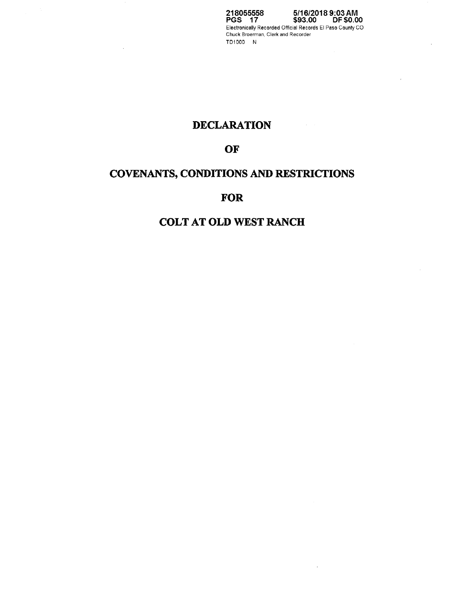**218055558 PGS 17 5/16/2018 9:03AM \$93.00 DF \$0.00**  Electronically Recorded Official Records El Paso County CO Chuck Broerman, Clerk and Recorder TD1000 N

# **DECLARATION**

## **OF**

# **COVENANTS, CONDITIONS AND RESTRICTIONS**

## **FOR**

## **COLT AT OLD WEST RANCH**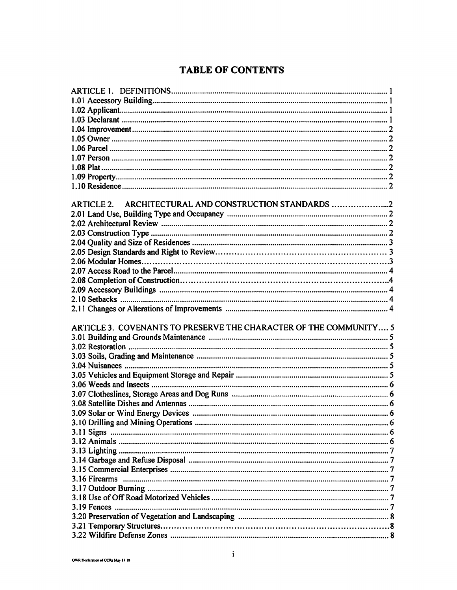# **TABLE OF CONTENTS**

| ARTICLE 2. ARCHITECTURAL AND CONSTRUCTION STANDARDS               |  |
|-------------------------------------------------------------------|--|
|                                                                   |  |
|                                                                   |  |
|                                                                   |  |
|                                                                   |  |
|                                                                   |  |
|                                                                   |  |
|                                                                   |  |
|                                                                   |  |
|                                                                   |  |
|                                                                   |  |
|                                                                   |  |
|                                                                   |  |
|                                                                   |  |
|                                                                   |  |
| ARTICLE 3. COVENANTS TO PRESERVE THE CHARACTER OF THE COMMUNITY 5 |  |
|                                                                   |  |
|                                                                   |  |
|                                                                   |  |
|                                                                   |  |
|                                                                   |  |
|                                                                   |  |
|                                                                   |  |
|                                                                   |  |
|                                                                   |  |
|                                                                   |  |
|                                                                   |  |
|                                                                   |  |
|                                                                   |  |
|                                                                   |  |
|                                                                   |  |
|                                                                   |  |
|                                                                   |  |
|                                                                   |  |
|                                                                   |  |
| 3.19 Fences                                                       |  |
|                                                                   |  |
|                                                                   |  |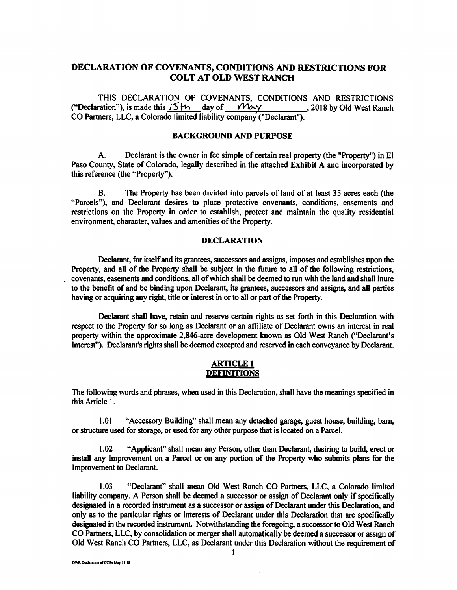## **DECLARATION OF COVENANTS, CONDITIONS AND RESTRICTIONS FOR COLT AT OLD WEST RANCH**

THIS DECLARATION OF COVENANTS, CONDITIONS AND RESTRICTIONS ("Declaration"), is made this  $15 + h$  day of  $M\alpha y$ , 2018 by Old West Ranch ("Declaration"), is made this  $15+n$  day of  $2018$  by Old West Ranch CO Partners, LLC, a Colorado limited liability company ("Declarant").

#### **BACKGROUND AND PURPOSE**

A. Declarant is the owner in fee simple of certain real property (the "Property") in El Paso County, State of Colorado, legally described in the attached **Exhibit A** and incorporated by this reference (the "Property").

B. The Property has been divided into parcels of land of at least 35 acres each (the "Parcels"), and Declarant desires to place protective covenants, conditions, easements and restrictions on the Property in order to establish, protect and maintain the quality residential environment, character, values and amenities of the Property.

#### **DECLARATION**

Declarant, for itself and its grantees, successors and assigns, imposes and establishes upon the Property, and all of the Property shall be subject in the future to all of the following restrictions, . covenants, easements and conditions, all of which shall be deemed to run with the land and shall inure to the benefit of and be binding upon Declarant, its grantees, successors and assigns, and all parties having or acquiring any right, title or interest in or to all or part of the Property.

Declarant shall have, retain and reserve certain rights as set forth in this Declaration with respect to the Property for so long as Declarant or an affiliate of Declarant owns an interest in real property within the approximate 2,846-acre development known as Old West Ranch ("Declarant's Interest"). Declarant's rights shall be deemed excepted and reserved in each conveyance by Declarant.

#### **ARTICLE! DEFINITIONS**

The following words and phrases, when used in this Declaration, shall have the meanings specified in this Article 1.

1.01 "Accessory Building" shall mean any detached garage, guest house, building, barn, or structure used for storage, or used for any other purpose that is located on a Parcel.

1.02 "Applicant" shall mean any Person, other than Declarant, desiring to build, erect or install any Improvement on a Parcel or on any portion of the Property who submits plans for the Improvement to Declarant.

1.03 "Declarant" shall mean Old West Ranch CO Partners, LLC, a Colorado limited liability company. A Person shall be deemed a successor or assign of Declarant only if specifically designated in a recorded instrument as a successor or assign of Declarant under this Declaration, and only as to the particular rights or interests of Declarant under this Declaration that are specifically designated in the recorded instrument. Notwithstanding the foregoing, a successor to Old West Ranch CO Partners, LLC, by consolidation or merger shall automatically be deemed a successor or assign of Old West Ranch CO Partners, LLC, as Declarant under this Declaration without the requirement of

 $\ddot{\phantom{0}}$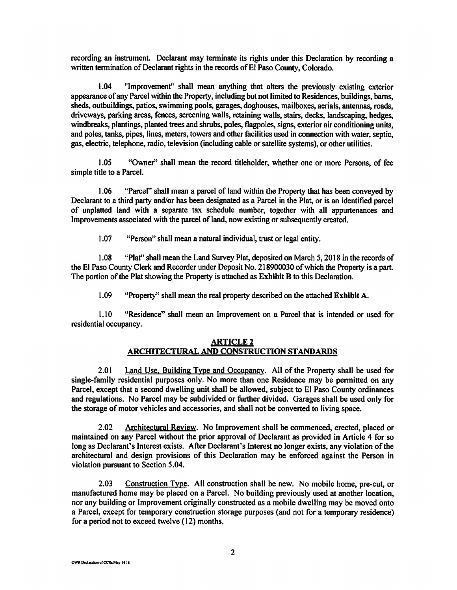recording an instrument. Declarant may terminate its rights under this Declaration by recording a written termination of Declarant rights in the records of El Paso County, Colorado.

1.04 "Improvement" shall mean anything that alters the previously existing exterior appearance of any Parcel within the Property, including but not limited to Residences, buildings, barns, sheds, outbuildings, patios, swimming pools, garages, doghouses, mailboxes, aerials, antennas, roads, driveways, parking areas, fences, screening walls, retaining walls, stairs, decks, landscaping, hedges, windbreaks, plantings, planted trees and shrubs, poles, flagpoles, signs, exterior air conditioning units, and poles, tanks, pipes, lines, meters, towers and other facilities used in connection with water, septic, gas, electric, telephone, radio, television (including cable or satellite systems), or other utilities.

1.05 "Owner" shall mean the record titleholder, whether one or more Persons, of fee simple title to a Parcel.

1.06 "Parcel" shall mean a parcel of land within the Property that has been conveyed by Declarant to a third party and/or has been designated as a Parcel in the Plat, or is an identified parcel of unplatted land with a separate tax schedule number, together with all appurtenances and Improvements associated with the parcel of land, now existing or subsequently created.

1.07 "Person" shall mean a natural individual, trust or legal entity.

1.08 "Plat" shall mean the Land Survey Plat, deposited on March 5, 2018 in the records of the El Paso County Clerk and Recorder under Deposit No. 218900030 of which the Property is a part. The portion of the Plat showing the Property is attached as **Exhibit B** to this Declaration.

1.09 "Property" shall mean the real property described on the attached **Exhibit A.** 

1.10 "Residence" shall mean an Improvement on a Parcel that is intended or used for residential occupancy.

#### **ARTICLE2 ARCIIlTECTURAL AND CONSTRUCTION STANDARDS**

2.01 Land Use, Building Type and Occupancy. All of the Property shall be used for single-family residential purposes only. No more than one Residence may be permitted on any Parcel, except that a second dwelling unit shall be allowed, subject to El Paso County ordinances and regulations. No Parcel may be subdivided or further divided. Garages shall be used only for the storage of motor vehicles and accessories, and shall not be converted to living space.

2.02 Architectural Review. No Improvement shall be commenced, erected, placed or maintained on any Parcel without the prior approval of Declarant as provided in Article 4 for so long as Declarant's Interest exists. After Declarant's Interest no longer exists, any violation of the architectural and design provisions of this Declaration may be enforced against the Person in violation pursuant to Section 5.04.

2.03 Construction Type. All construction shall be new. No mobile home, pre-cut, or manufactured home may be placed on a Parcel. No building previously used at another location, nor any building or Improvement originally constructed as a mobile dwelling may be moved onto a Parcel, except for temporary construction storage purposes (and not for a temporary residence) for a period not to exceed twelve (12) months.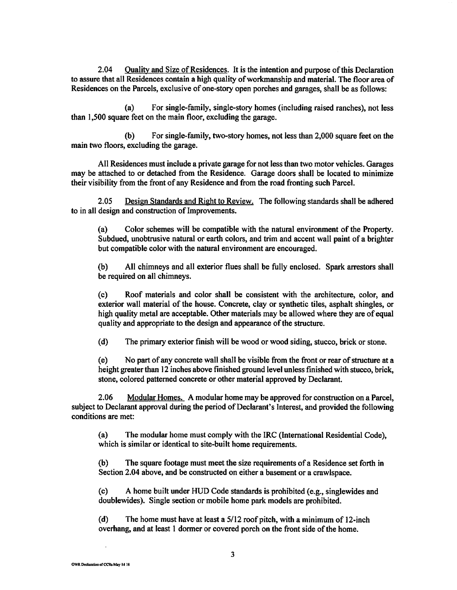2.04 Quality and Size of Residences. It is the intention and purpose of this Declaration to assure that all Residences contain a high quality of workmanship and material. The floor area of Residences on the Parcels, exclusive of one-story open porches and garages, shall be as follows:

(a) For single-family, single-story homes (including raised ranches), not less than 1,500 square feet on the main floor, excluding the garage.

(b) For single-family, two-story homes, not less than 2,000 square feet on the main two floors, excluding the garage.

All Residences must include a private garage for not less than two motor vehicles. Garages may be attached to or detached from the Residence. Garage doors shall be located to minimize their visibility from the front of any Residence and from the road fronting such Parcel.

2.05 Design Standards and Right to Review. The following standards shall be adhered to in all design and construction of Improvements.

(a) Color schemes will be compatible with the natural environment of the Property. Subdued, unobtrusive natural or earth colors, and trim and accent wall paint of a brighter but compatible color with the natural environment are encouraged.

(b) All chimneys and all exterior flues shall be fully enclosed. Spark arrestors shall be required on all chimneys.

( c) Roof materials and color shall be consistent with the architecture, color, and exterior wall material of the house. Concrete, clay or synthetic tiles, asphalt shingles, or high quality metal are acceptable. Other materials may be allowed where they are of equal quality and appropriate to the design and appearance of the structure.

( d) The primary exterior finish will be wood or wood siding, stucco, brick or stone.

( e) No part of any concrete wall shall be visible from the front or rear of structure at a height greater than 12 inches above finished ground level unless finished with stucco, brick, stone, colored patterned concrete or other material approved by Declarant.

2.06 Modular Homes. A modular home may be approved for construction on a Parcel, subject to Declarant approval during the period of Declarant's Interest, and provided the following conditions are met:

(a) The modular home must comply with the IRC (International Residential Code), which is similar or identical to site-built home requirements.

(b) The square footage must meet the size requirements of a Residence set forth in Section 2.04 above, and be constructed on either a basement or a crawlspace.

( c) A home built under HUD Code standards is prohibited ( e.g., singlewides and doublewides). Single section or mobile home park models are prohibited.

(d) The home must have at least a 5/12 roof pitch, with a minimum of 12-inch overhang, and at least 1 dormer or covered porch on the front side of the home.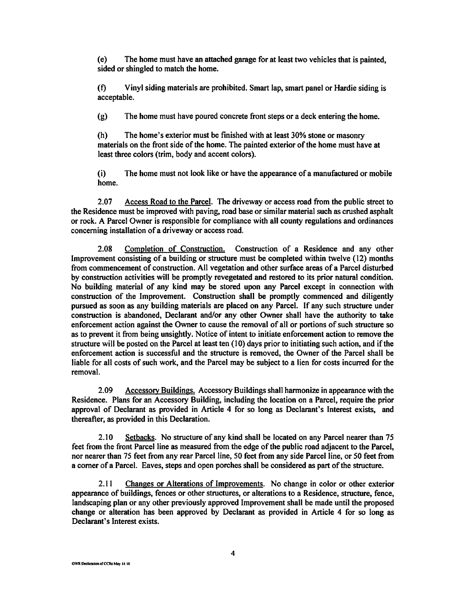(e) The home must have an attached garage for at least two vehicles that is painted, sided or shingled to match the home.

(t) Vinyl siding materials are prohibited. Smart lap, smart panel or Hardie siding is acceptable.

(g) The home must have poured concrete front steps or a deck entering the home.

(h) The home's exterior must be finished with at least 30% stone or masonry materials on the front side of the home. The painted exterior of the home must have at least three colors (trim, body and accent colors).

(i) The home must not look like or have the appearance of a manufactured or mobile home.

2.07 Access Road to the Parcel. The driveway or access road from the public street to the Residence must be improved with paving, road base or similar material such as crushed asphalt or rock. A Parcel Owner is responsible for compliance with all county regulations and ordinances concerning installation of a driveway or access road.

2.08 Completion of Construction. Construction of a Residence and any other Improvement consisting of a building or structure must be completed within twelve (12) months from commencement of construction. All vegetation and other surface areas of a Parcel disturbed by construction activities will be promptly revegetated and restored to its prior natural condition. No building material of any kind may be stored upon any Parcel except in connection with construction of the Improvement. Construction shall be promptly commenced and diligently pursued as soon as any building materials are placed on any Parcel. If any such structure under construction is abandoned, Declarant and/or any other Owner shall have the authority to take enforcement action against the Owner to cause the removal of all or portions of such structure so as to prevent it from being unsightly. Notice of intent to initiate enforcement action to remove the structure will be posted on the Parcel at least ten (10) days prior to initiating such action, and if the enforcement action is successful and the structure is removed, the Owner of the Parcel shall be liable for all costs of such work, and the Parcel may be subject to a lien for costs incurred for the removal.

2.09 Accessory Buildings. Accessory Buildings shall harmonize in appearance with the Residence. Plans for an Accessory Building, including the location on a Parcel, require the prior approval of Declarant as provided in Article 4 for so long as Declarant's Interest exists, and thereafter, as provided in this Declaration.

2.10 Setbacks. No structure of any kind shall be located on any Parcel nearer than 75 feet from the front Parcel line as measured from the edge of the public road adjacent to the Parcel, nor nearer than 75 feet from any rear Parcel line, 50 feet from any side Parcel line, or 50 feet from a corner of a Parcel. Eaves, steps and open porches shall be considered as part of the structure.

2.11 Changes or Alterations of Improvements. No change in color or other exterior appearance of buildings, fences or other structures, or alterations to a Residence, structure, fence, landscaping plan or any other previously approved Improvement shall be made until the proposed change or alteration has been approved by Declarant as provided in Article 4 for so long as Declarant's Interest exists.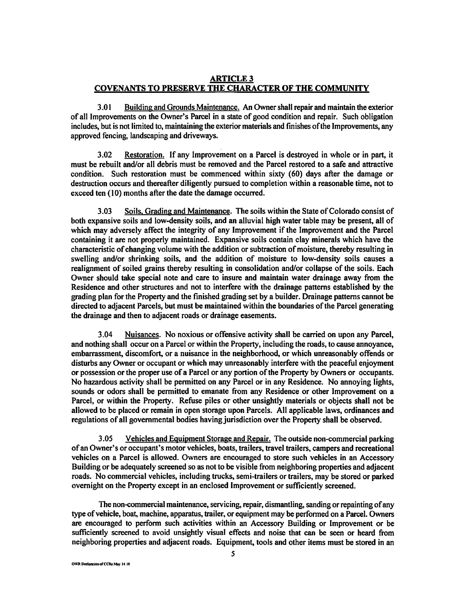### **ARTICLE3 COVENANTS TO PRESERVE THE CHARACTER OF THE COMMUNITY**

3.01 Building and Grounds Maintenance. An Owner shall repair and maintain the exterior of all Improvements on the Owner's Parcel in a state of good condition and repair. Such obligation includes, but is not limited to, maintaining the exterior materials and finishes of the Improvements, any approved fencing, landscaping and driveways.

3.02 Restoration. If any Improvement on a Parcel is destroyed in whole or in part, it must be rebuilt and/or all debris must be removed and the Parcel restored to a safe and attractive condition. Such restoration must be commenced within sixty (60) days after the damage or destruction occurs and thereafter diligently pursued to completion within a reasonable time, not to exceed ten (10) months after the date the damage occurred.

3.03 Soils, Grading and Maintenance. The soils within the State of Colorado consist of both expansive soils and low-density soils, and an alluvial high water table may be present, all of which may adversely affect the integrity of any Improvement if the Improvement and the Parcel containing it are not properly maintained. Expansive soils contain clay minerals which have the characteristic of changing volume with the addition or subtraction of moisture, thereby resulting in swelling and/or shrinking soils, and the addition of moisture to low-density soils causes a realignment of soiled grains thereby resulting in consolidation and/or collapse of the soils. Each Owner should take special note and care to insure and maintain water drainage away from the Residence and other structures and not to interfere with the drainage patterns established by the grading plan for the Property and the finished grading set by a builder. Drainage patterns cannot be directed to adjacent Parcels, but must be maintained within the boundaries of the Parcel generating the drainage and then to adjacent roads or drainage easements.

3.04 Nuisances. No noxious or offensive activity shall be carried on upon any Parcel, and nothing shall occur on a Parcel or within the Property, including the roads, to cause annoyance, embarrassment, discomfort, or a nuisance in the neighborhood, or which unreasonably offends or disturbs any Owner or occupant or which may unreasonably interfere with the peaceful enjoyment or possession or the proper use of a Parcel or any portion of the Property by Owners or occupants. No hazardous activity shall be permitted on any Parcel or in any Residence. No annoying lights, sounds or odors shall be permitted to emanate from any Residence or other Improvement on a Parcel, or within the Property. Refuse piles or other unsightly materials or objects shall not be allowed to be placed or remain in open storage upon Parcels. All applicable laws, ordinances and regulations of all governmental bodies having jurisdiction over the Property shall be observed.

3.05 Vehicles and Equipment Storage and Repair. The outside non-commercial parking of an Owner's or occupant's motor vehicles, boats, trailers, travel trailers, campers and recreational vehicles on a Parcel is allowed. Owners are encouraged to store such vehicles in an Accessory Building or be adequately screened so as not to be visible from neighboring properties and adjacent roads. No commercial vehicles, including trucks, semi-trailers or trailers, may be stored or parked overnight on the Property except in an enclosed Improvement or sufficiently screened.

The non-commercial maintenance, servicing, repair, dismantling, sanding or repainting of any type of vehicle, boat, machine, apparatus, trailer, or equipment may be performed on a Parcel. Owners are encouraged to perform such activities within an Accessory Building or Improvement or be sufficiently screened to avoid unsightly visual effects and noise that can be seen or heard from neighboring properties and adjacent roads. Equipment, tools and other items must be stored in an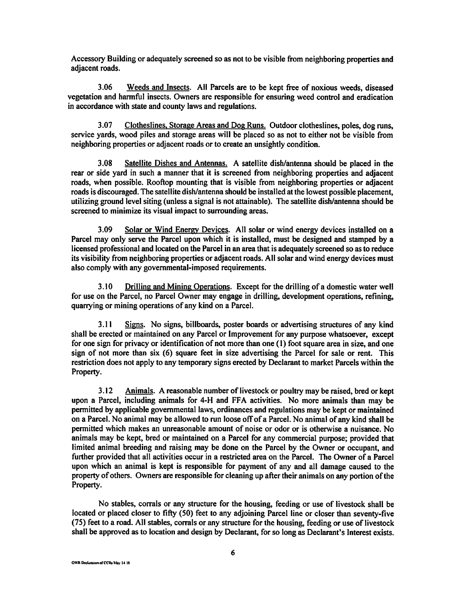Accessory Building or adequately screened so as not to be visible from neighboring properties and adjacent roads.

3.06 Weeds and Insects. All Parcels are to be kept free of noxious weeds, diseased vegetation and harmful insects. Owners are responsible for ensuring weed control and eradication in accordance with state and county laws and regulations.

3.07 Clotheslines, Storage Areas and Dog Runs. Outdoor clotheslines, poles, dog runs, service yards, wood piles and storage areas will be placed so as not to either not be visible from neighboring properties or adjacent roads or to create an unsightly condition.

3 .08 Satellite Dishes and Antennas. A satellite dish/antenna should be placed in the rear or side yard in such a manner that it is screened from neighboring properties and adjacent roads, when possible. Rooftop mounting that is visible from neighboring properties or adjacent roads is discouraged. The satellite dish/antenna should be installed at the lowest possible placement, utilizing ground level siting (unless a signal is not attainable). The satellite dish/antenna should be screened to minimize its visual impact to surrounding areas.

3.09 Solar or Wind Energy Devices. All solar or wind energy devices installed on a Parcel may only serve the Parcel upon which it is installed, must be designed and stamped by a licensed professional and located on the Parcel in an area that is adequately screened so as to reduce its visibility from neighboring properties or adjacent roads. All solar and wind energy devices must also comply with any governmental-imposed requirements.

3 .10 Drilling and Mining Operations. Except for the drilling of a domestic water well for use on the Parcel, no Parcel Owner may engage in drilling, development operations, refining, quarrying or mining operations of any kind on a Parcel.

3 .11 Signs. No signs, billboards, poster boards or advertising structures of any kind shall be erected or maintained on any Parcel or Improvement for any purpose whatsoever, except for one sign for privacy or identification of not more than one (I) foot square area in size, and one sign of not more than six (6) square feet in size advertising the Parcel for sale or rent. This restriction does not apply to any temporary signs erected by Declarant to market Parcels within the Property.

3.12 Animals. A reasonable number of livestock or poultty may be raised, bred or kept upon a Parcel, including animals for 4-H and FFA activities. No more animals than may be permitted by applicable governmental laws, ordinances and regulations may be kept or maintained on a Parcel. No animal may be allowed to run loose off of a Parcel. No animal of any kind shall be permitted which makes an unreasonable amount of noise or odor or is otherwise a nuisance. No animals may be kept, bred or maintained on a Parcel for any commercial purpose; provided that limited animal breeding and raising may be done on the Parcel by the Owner or occupant, and further provided that all activities occur in a restricted area on the Parcel. The Owner of a Parcel upon which an animal is kept is responsible for payment of any and all damage caused to the property of others. Owners are responsible for cleaning up after their animals on any portion of the Property.

No stables, corrals or any structure for the housing, feeding or use of livestock shall be located or placed closer to fifty (50) feet to any adjoining Parcel line or closer than seventy-five (75) feet to a road. All stables, corrals or any structure for the housing, feeding or use of livestock shall be approved as to location and design by Declarant, for so long as Declarant's Interest exists.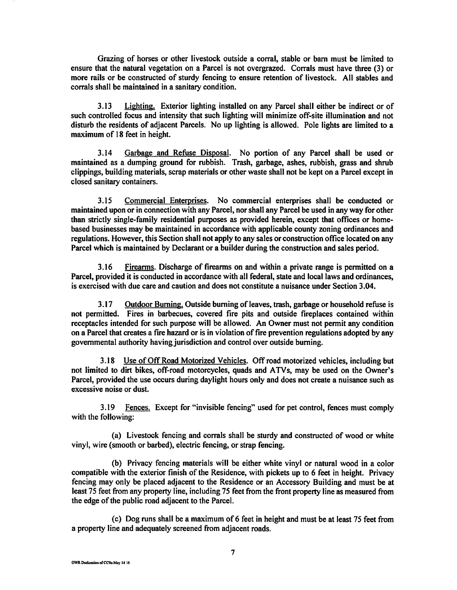Grazing of horses or other livestock outside a corral, stable or barn must be limited to ensure that the natural vegetation on a Parcel is not overgrazed. Corrals must have three (3) or more rails or be constructed of sturdy fencing to ensure retention of livestock. All stables and corrals shall be maintained in a sanitary condition.

3.13 Lighting. Exterior lighting installed on any Parcel shall either be indirect or of such controlled focus and intensity that such lighting will minimize off-site illumination and not disturb the residents of adjacent Parcels. No up lighting is allowed. Pole lights are limited to a maximum of 18 feet in height.

3 .14 Garbage and Refuse Disposal. No portion of any Parcel shall be used or maintained as a dumping ground for rubbish. Trash, garbage, ashes, rubbish, grass and shrub clippings, building materials, scrap materials or other waste shall not be kept on a Parcel except in closed sanitary containers.

3.15 Commercial Enterprises. No commercial enterprises shall be conducted or maintained upon or in connection with any Parcel, nor shall any Parcel be used in any way for other than strictly single-family residential purposes as provided herein, except that offices or homebased businesses may be maintained in accordance with applicable county zoning ordinances and regulations. However, this Section shall not apply to any sales or construction office located on any Parcel which is maintained by Declarant or a builder during the construction and sales period.

3.16 Firearms. Discharge of firearms on and within a private range is permitted on a Parcel, provided it is conducted in accordance with all federal, state and local laws and ordinances, is exercised with due care and caution and does not constitute a nuisance under Section 3.04.

3.17 Outdoor Burning. Outside burning of leaves, trash, garbage or household refuse is not permitted. Fires in barbecues, covered fire pits and outside fireplaces contained within receptacles intended for such purpose will be allowed. An Owner must not permit any condition on a Parcel that creates a fire hazard or is in violation of fire prevention regulations adopted by any governmental authority having jurisdiction and control over outside burning.

3.18 Use of Off Road Motorized Vehicles. Off road motorized vehicles, including but not limited to dirt bikes, off-road motorcycles, quads and ATVs, may be used on the Owner's Parcel, provided the use occurs during daylight hours only and does not create a nuisance such as excessive noise or dust.

3.19 Fences. Except for "invisible fencing" used for pet control, fences must comply with the following:

(a) Livestock fencing and corrals shall be sturdy and constructed of wood or white vinyl, wire (smooth or barbed), electric fencing, or strap fencing.

(b) Privacy fencing materials will be either white vinyl or natural wood in a color compatible with the exterior finish of the Residence, with pickets up to 6 feet in height. Privacy fencing may only be placed adjacent to the Residence or an Accessory Building and must be at least 75 feet from any property line, including 75 feet from the front property line as measured from the edge of the public road adjacent to the Parcel.

( c) Dog runs shall be a maximum of 6 feet in height and must be at least 75 feet from a property line and adequately screened from adjacent roads.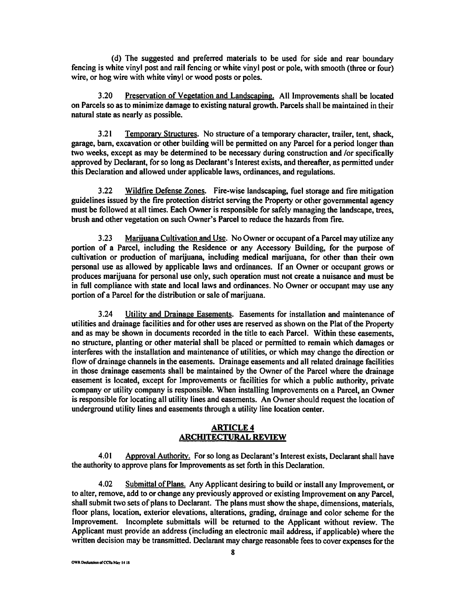( d) The suggested and preferred materials to be used for side and rear boundary fencing is white vinyl post and rail fencing or white vinyl post or pole, with smooth (three or four) wire, or hog wire with white vinyl or wood posts or poles.

3 .20 Preservation of Vegetation and Landscaping. All Improvements shall be located on Parcels so as to minimize damage to existing natural growth. Parcels shall be maintained in their natural state as nearly as possible.

3.21 Temporary Structures. No structure of a temporary character, trailer, tent, shack, garage, barn, excavation or other building will be permitted on any Parcel for a period longer than two weeks, except as may be determined to be necessary during construction and /or specifically approved by Declarant, for so long as Declarant's Interest exists, and thereafter, as permitted under this Declaration and allowed under applicable laws, ordinances, and regulations.

3 .22 Wildfire Defense Zones. Fire-wise landscaping, fuel storage and fire mitigation guidelines issued by the fire protection district serving the Property or other governmental agency must be followed at all times. Each Owner is responsible for safely managing the landscape, trees, brush and other vegetation on such Owner's Parcel to reduce the hazards from fire.

3.23 Marijuana Cultivation and Use. No Owner or occupant of a Parcel may utilize any portion of a Parcel, including the Residence or any Accessory Building, for the purpose of cultivation or production of marijuana, including medical marijuana, for other than their own personal use as allowed by applicable laws and ordinances. If an Owner or occupant grows or produces marijuana for personal use only, such operation must not create a nuisance and must be in full compliance with state and local laws and ordinances. No Owner or occupant may use any portion of a Parcel for the distribution or sale of marijuana.

3.24 Utility and Drainage Easements. Easements for installation and maintenance of utilities and drainage facilities and for other uses are reserved as shown on the Plat of the Property and as may be shown in documents recorded in the title to each Parcel. Within these easements, no structure, planting or other material shall be placed or permitted to remain which damages or interferes with the installation and maintenance of utilities, or which may change the direction or flow of drainage channels in the easements. Drainage easements and all related drainage facilities in those drainage easements shall be maintained by the Owner of the Parcel where the drainage easement is located, except for Improvements or facilities for which a public authority, private company or utility company is responsible. When installing Improvements on a Parcel, an Owner is responsible for locating all utility lines and easements. An Owner should request the location of underground utility lines and easements through a utility line location center.

## **ARTICLE4 ARCHITECTURAL REVIEW**

4.01 Approval Authority. For so long as Declarant's Interest exists, Declarant shall have the authority to approve plans for Improvements as set forth in this Declaration.

4.02 Submittal of Plans. Any Applicant desiring to build or install any Improvement, or to alter, remove, add to or change any previously approved or existing Improvement on any Parcel, shall submit two sets of plans to Declarant. The plans must show the shape, dimensions, materials, floor plans, location, exterior elevations, alterations, grading, drainage and color scheme for the Improvement. Incomplete submittals will be returned to the Applicant without review. The Applicant must provide an address (including an electronic mail address, if applicable) where the written decision may be transmitted. Declarant may charge reasonable fees to cover expenses for the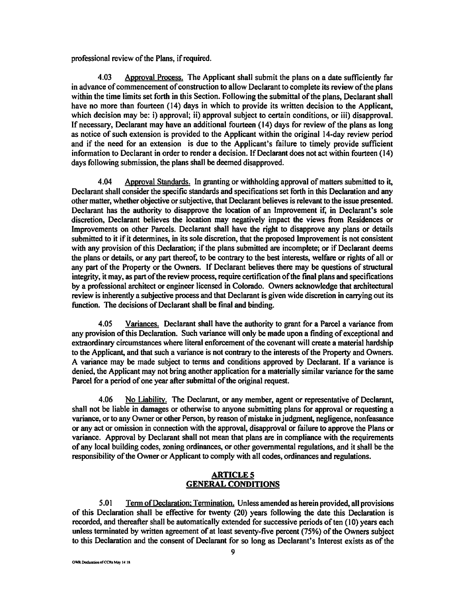professional review of the Plans, if required.

4.03 Approval Process. The Applicant shall submit the plans on a date sufficiently far in advance of commencement of construction to allow Declarant to complete its review of the plans within the time limits set forth in this Section. Following the submittal of the plans, Declarant shall have no more than fourteen (14) days in which to provide its written decision to the Applicant, which decision may be: i) approval; ii) approval subject to certain conditions, or iii) disapproval. If necessary, Declarant may have an additional fourteen (14) days for review of the plans as long as notice of such extension is provided to the Applicant within the original 14-day review period and if the need for an extension is due to the Applicant's failure to timely provide sufficient information to Declarant in order to render a decision. If Declarant does not act within fourteen ( 14) days following submission, the plans shall be deemed disapproved.

4.04 Approval Standards. In granting or withholding approval of matters submitted to it, Declarant shall consider the specific standards and specifications set forth in this Declaration and any other matter, whether objective or subjective, that Declarant believes is relevant to the issue presented. Declarant has the authority to disapprove the location of an Improvement if, in Declarant's sole discretion, Declarant believes the location may negatively impact the views from Residences or Improvements on other Parcels. Declarant shall have the right to disapprove any plans or details submitted to it if it determines, in its sole discretion, that the proposed Improvement is not consistent with any provision of this Declaration; if the plans submitted are incomplete; or if Declarant deems the plans or details, or any part thereof, to be contrary to the best interests, welfare or rights of all or any part of the Property or the Owners. If Declarant believes there may be questions of structural integrity, it may, as part of the review process, require certification of the final plans and specifications by a professional architect or engineer licensed in Colorado. Owners acknowledge that architectural review is inherently a subjective process and that Declarant is given wide discretion in carrying out its function. The decisions of Declarant shall be final and binding.

4.05 Variances. Declarant shall have the authority to grant for a Parcel a variance from any provision of this Declaration. Such variance will only be made upon a finding of exceptional and extraordinary circumstances where literal enforcement of the covenant will create a material hardship to the Applicant, and that such a variance is not contrary to the interests of the Property and Owners. A variance may be made subject to terms and conditions approved by Declarant. If a variance is denied, the Applicant may not bring another application for a materially similar variance for the same Parcel for a period of one year after submittal of the original request.

4.06 No Liability. The Declarant, or any member, agent or representative of Declarant, shall not be liable in damages or otherwise to anyone submitting plans for approval or requesting a variance, orto any Owner or other Person, by reason of mistake in judgment, negligence, nonfeasance or any act or omission in connection with the approval, disapproval or failure to approve the Plans or variance. Approval by Declarant shall not mean that plans are in compliance with the requirements of any local building codes, zoning ordinances, or other governmental regulations, and it shall be the responsibility of the Owner or Applicant to comply with all codes, ordinances and regulations.

## **ARTICLES GENERAL CONDITIONS**

5.01 Term of Declaration: Termination. Unless amended as herein provided, all provisions of this Declaration shall be effective for twenty (20) years following the date this Declaration is recorded, and thereafter shall be automatically extended for successive periods of ten (10) years each unless terminated by written agreement of at least seventy-five percent (75%) of the Owners subject to this Declaration and the consent of Declarant for so long as Declarant's Interest exists as of the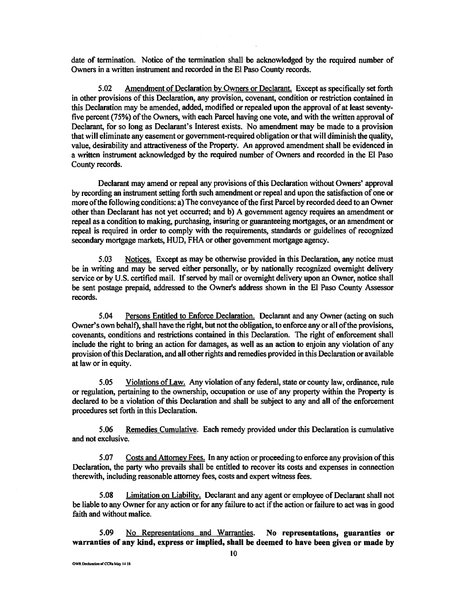date of termination. Notice of the termination shall be acknowledged by the required number of Owners in a written instrument and recorded in the El Paso County records.

5.02 Amendment of Declaration by Owners or Declarant. Except as specifically set forth in other provisions of this Declaration, any provision, covenant, condition or restriction contained in this Declaration may be amended, added, modified or repealed upon the approval of at least seventyfive percent (75%) of the Owners, with each Parcel having one vote, and with the written approval of Declarant, for so long as Declarant's Interest exists. No amendment may be made to a provision that will eliminate any easement or government-required obligation or that will diminish the quality, value, desirability and attractiveness of the Property. An approved amendment shall be evidenced in a written instrument acknowledged by the required number of Owners and recorded in the El Paso County records.

Declarant may amend or repeal any provisions of this Declaration without Owners' approval by recording an instrument setting forth such amendment or repeal and upon the satisfaction of one or more of the following conditions: a) The conveyance of the first Parcel by recorded deed to an Owner other than Declarant has not yet occurred; and b) A government agency requires an amendment or repeal as a condition to making, purchasing, insuring or guaranteeing mortgages, or an amendment or repeal is required in order to comply with the requirements, standards or guidelines of recognized secondary mortgage markets, HUD, FHA or other government mortgage agency.

5.03 Notices. Except as may be otherwise provided in this Declaration, any notice must be in writing and may be served either personally, or by nationally recognized overnight delivery service or by U.S. certified mail. If served by mail or overnight delivery upon an Owner, notice shall be sent postage prepaid, addressed to the Owner's address shown in the El Paso County Assessor records.

5.04 Persons Entitled to Enforce Declaration. Declarant and any Owner (acting on such Owner's own behalf), shall have the right, but not the obligation, to enforce any or all of the provisions, covenants, conditions and restrictions contained in this Declaration. The right of enforcement shall include the right to bring an action for damages, as well as an action to enjoin any violation of any provision of this Declaration, and all other rights and remedies provided in this Declaration or available at law or in equity.

5.05 Violations of Law. Any violation of any federal, state or county law, ordinance, rule or regulation, pertaining to the ownership, occupation or use of any property within the Property is declared to be a violation of this Declaration and shall be subject to any and all of the enforcement procedures set forth in this Declaration.

5.06 Remedies Cumulative. Each remedy provided under this Declaration is cumulative and not exclusive.

5.07 Costs and Attorney Fees. In any action or proceeding to enforce any provision of this Declaration, the party who prevails shall be entitled to recover its costs and expenses in connection therewith, including reasonable attorney fees, costs and expert witness fees.

5.08 Limitation on Liability. Declarant and any agent or employee of Declarant shall not be liable to any Owner for any action or for any failure to act if the action or failure to act was in good faith and without malice.

5.09 No Representations and Warranties. **No representations, guaranties or warranties of any kind, express or implied, shall be deemed to have been given or made by**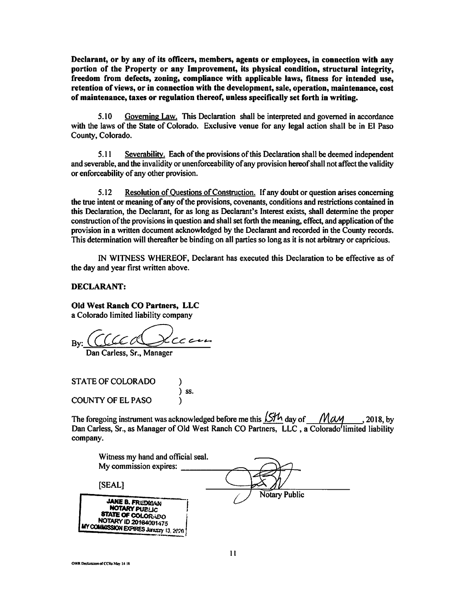**Declarant, or by any of its officers, members, agents or employees, in connection with any portion of the Property or any Improvement, its physical condition, structural integrity, freedom from defects, zoning, compliance with applicable laws, fitness for intended use, retention of views, or in connection with the development, sale, operation, maintenance, cost of maintenance, taxes or regulation thereof, unless specifically set forth in writing.** 

5.10 Governing Law. This Declaration shall be interpreted and governed in accordance with the laws of the State of Colorado. Exclusive venue for any legal action shall be in El Paso County, Colorado.

5.11 Severability. Each of the provisions of this Declaration shall be deemed independent and severable, and the invalidity or unenforceability of any provision hereof shall not affect the validity or enforceability of any other provision.

5.12 Resolution of Questions of Construction. If any doubt or question arises concerning the true intent or meaning of any of the provisions, covenants, conditions and restrictions contained in this Declaration, the Declarant, for as long as Declarant's Interest exists, shall determine the proper construction of the provisions in question and shall set forth the meaning, effect, and application of the provision in a written document acknowledged by the Declarant and recorded in the County records. This determination will thereafter be binding on all parties so long as it is not arbitrary or capricious.

IN WITNESS WHEREOF, Declarant has executed this Declaration to be effective as of the day and year first written above.

#### **DECLARANT:**

## **Old West Ranch CO Partners, LLC**

a Colorado limited liability company

By: *(a.uc0* CC«---

Dan Carless, Sr., Manager

STATE OF COLORADO )  $\left(\begin{array}{c} 0 \\ 0 \\ 0 \end{array}\right)$  ss. COUNTY OF EL PASO )

The foregoing instrument was acknowledged before me this  $\frac{15H_1}{2}$  day of *MaM* . 2018, by Dan Carless, Sr., as Manager of Old West Ranch CO Partners, LLC, a Colorado'limited liability company.

| Witness my hand and official seal.                                         |               |
|----------------------------------------------------------------------------|---------------|
| My commission expires:                                                     |               |
| [SEAL]                                                                     |               |
| <b>JANE B. FREDWAN</b><br><b>NOTARY PUBLIC</b><br><b>STATE OF COLORADO</b> | Notary Public |
| NOTARY ID 20164001475<br>MY COMMISSION EXPIRES JERRESY 13, 2020 !          |               |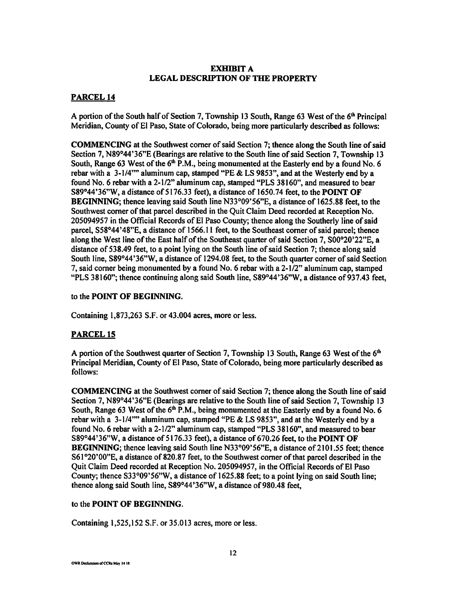## **EXHIBIT A LEGAL DESCRIPTION OF THE PROPERTY**

## **PARCEL14**

A portion of the South half of Section 7, Township 13 South, Range 63 West of the 61h Principal Meridian, County of El Paso, State of Colorado, being more particularly described as follows:

**COMMENCING** at the Southwest comer of said Section 7; thence along the South line of said Section 7, N89°44'36"E (Bearings are relative to the South line of said Section 7, Township 13 South, Range 63 West of the 6<sup>th</sup> P.M., being monumented at the Easterly end by a found No. 6 rebar with a 3-1/4"" aluminum cap, stamped "PE & LS 9853", and at the Westerly end by a found No. 6 rebar with a 2-1/2" aluminum cap, stamped "PLS 38160", and measured to bear S89°44'36"W, a distance of 5176.33 feet), a distance of 1650.74 feet, to the **POINT OF BEGINNING;** thence leaving said South line N33°09'56"E, a distance of 1625.88 feet, to the Southwest comer of that parcel described in the Quit Claim Deed recorded at Reception No. 205094957 in the Official Records of El Paso County; thence along the Southerly line of said parcel, SS8°44 '48"E, a distance of 1566.11 feet, to the Southeast comer of said parcel; thence along the West line of the East half of the Southeast quarter of said Section 7, S00°20'22"E, a distance of S38.49 feet, to a point lying on the South line of said Section 7; thence along said South line, S89°44'36"W, a distance of 1294.08 feet, to the South quarter comer of said Section 7, said comer being monumented by a found No. 6 rebar with a 2-1/2" aluminum cap, stamped "PLS 38160"; thence continuing along said South line, S89°44 '36"W, a distance of 93 7.43 feet,

#### to the **POINT OF BEGINNING.**

Containing 1,873,263 S.F. or 43.004 acres, more or less.

## **PARCELIS**

A portion of the Southwest quarter of Section 7, Township 13 South, Range 63 West of the  $6<sup>th</sup>$ Principal Meridian, County of El Paso, State of Colorado, being more particularly described as follows:

**COMMENCING** at the Southwest comer of said Section 7; thence along the South line of said Section 7, N89°44 '36"E (Bearings are relative to the South line of said Section 7, Township 13 South, Range 63 West of the  $6<sup>th</sup>$  P.M., being monumented at the Easterly end by a found No. 6 rebar with a  $3-1/4$ "" aluminum cap, stamped "PE & LS 9853", and at the Westerly end by a found No. 6 rebar with a 2-1/2" aluminum cap, stamped "PLS 38160", and measured to bear S89°44'36"W, a distance of 5176.33 feet), a distance of 670.26 feet, to the **POINT OF BEGINNING;** thence leaving said South line N33°09'56"E, a distance of 2101.55 feet; thence S61 °20'00"E, a distance of 820.87 feet, to the Southwest comer of that parcel described in the Quit Claim Deed recorded at Reception No. 205094957, in the Official Records of El Paso County; thence S33°09'56"W, a distance of 1625.88 feet; to a point lying on said South line; thence along said South line,  $S89^{\circ}44'36''W$ , a distance of 980.48 feet,

### to the **POINT OF BEGINNING.**

Containing l,525,152 S.F. or 35.013 acres, more or less.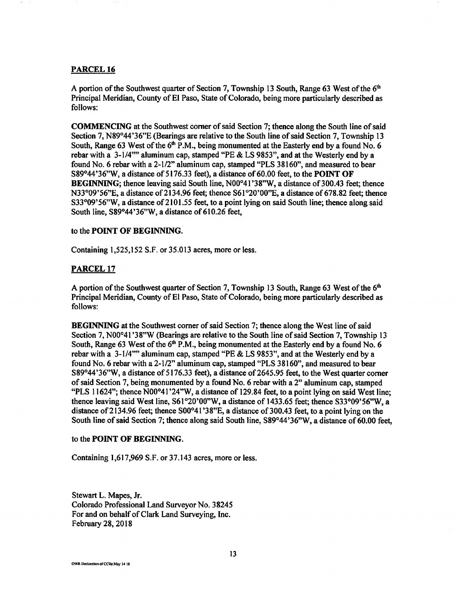#### **PARCEL16**

A portion of the Southwest quarter of Section 7, Township 13 South, Range 63 West of the  $6<sup>th</sup>$ Principal Meridian, County of El Paso, State of Colorado, being more particularly described as follows:

**COMMENCING** at the Southwest comer of said Section 7; thence along the South line of said Section 7, N89°44 '36"E (Bearings are relative to the South line of said Section 7, Township 13 South, Range 63 West of the  $6<sup>th</sup>$  P.M., being monumented at the Easterly end by a found No. 6 rebar with a 3-1/4"" aluminum cap, stamped "PE & LS 9853", and at the Westerly end by a found No. 6 rebar with a 2-1/2" aluminum cap, stamped "PLS 38160", and measured to bear S89°44 '36"W, a distance of 5176.33 feet), a distance of 60.00 feet, to the **POINT OF BEGINNING**; thence leaving said South line, N00°41'38"W, a distance of 300.43 feet; thence N33°09'56"E, a distance of 2134.96 feet; thence S61°20'00"E, a distance of 678.82 feet; thence S33°09'56"W, a distance of 2101.55 feet, to a point lying on said South line; thence along said South line, S89°44 '36"W, a distance of 610.26 feet,

#### to the **POINT OF BEGINNING.**

Containing 1,525,152 S.F. or 35.013 acres, more or less.

#### **PARCEL17**

A portion of the Southwest quarter of Section 7, Township 13 South, Range 63 West of the  $6<sup>th</sup>$ Principal Meridian, County of El Paso, State of Colorado, being more particularly described as follows:

**BEGINNING** at the Southwest comer of said Section 7; thence along the West line of said Section 7, N00°41 '38"W (Bearings are relative to the South line of said Section 7, Township 13 South, Range 63 West of the 6<sup>th</sup> P.M., being monumented at the Easterly end by a found No. 6 rebar with a 3-1/4"" aluminum cap, stamped "PE & LS 9853", and at the Westerly end by a found No. 6 rebarwith a 2-1/2" aluminum cap, stamped "PLS 38160", and measured to bear S89°44'36"W, a distance of 5176.33 feet), a distance of 2645.95 feet, to the West quarter corner of said Section 7, being monumented by a found No. 6 rebar with a 2" aluminum cap, stamped "PLS 11624"; thence N00°41 '24"W, a distance of 129.84 feet, to a point lying on said West line; thence leaving said West line, S61°20'00"W, a distance of 1433.65 feet; thence S33°09'56"W, a distance of 2134.96 feet; thence  $S00^{\circ}41'38''E$ , a distance of 300.43 feet, to a point lying on the South line of said Section 7; thence along said South line, S89°44 '36"W, a distance of 60.00 feet,

#### to the **POINT OF BEGINNING.**

Containing 1,617,969 S.F. or 37.143 acres, more or less.

Stewart L. Mapes, Jr. Colorado Professional Land Surveyor No. 38245 For and on behalf of Clark Land Surveying, Inc. February 28, 2018